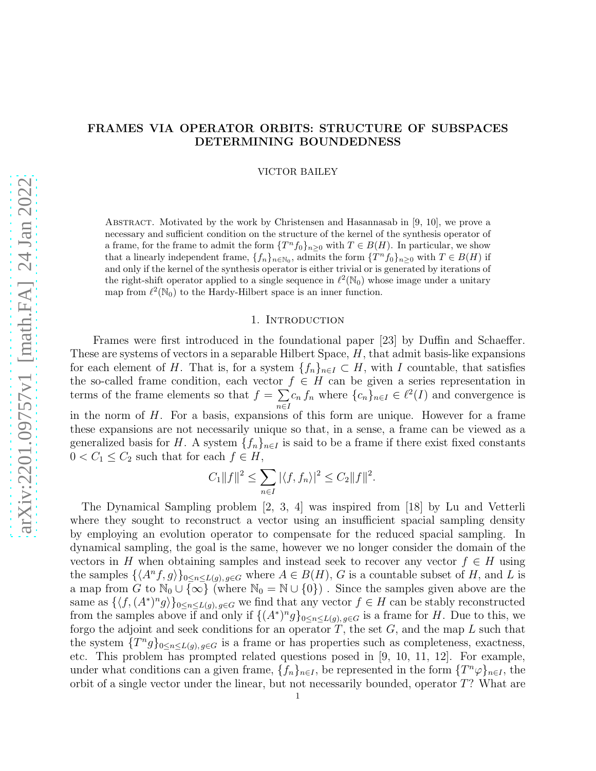# FRAMES VIA OPERATOR ORBITS: STRUCTURE OF SUBSPACES DETERMINING BOUNDEDNESS

VICTOR BAILEY

ABSTRACT. Motivated by the work by Christensen and Hasannasab in  $[9, 10]$ , we prove a necessary and sufficient condition on the structure of the kernel of the synthesis operator of a frame, for the frame to admit the form  $\{T^n f_0\}_{n\geq 0}$  with  $T \in B(H)$ . In particular, we show that a linearly independent frame,  $\{f_n\}_{n\in\mathbb{N}_0}$ , admits the form  $\{T^n f_0\}_{n\geq 0}$  with  $T \in B(H)$  if and only if the kernel of the synthesis operator is either trivial or is generated by iterations of the right-shift operator applied to a single sequence in  $\ell^2(\mathbb{N}_0)$  whose image under a unitary map from  $\ell^2(\mathbb{N}_0)$  to the Hardy-Hilbert space is an inner function.

## 1. INTRODUCTION

Frames were first introduced in the foundational paper [23] by Duffin and Schaeffer. These are systems of vectors in a separable Hilbert Space,  $H$ , that admit basis-like expansions for each element of H. That is, for a system  $\{f_n\}_{n\in I} \subset H$ , with I countable, that satisfies the so-called frame condition, each vector  $f \in H$  can be given a series representation in terms of the frame elements so that  $f = \sum$  $\sum_{n\in I} c_n f_n$  where  $\{c_n\}_{n\in I} \in \ell^2(I)$  and convergence is in the norm of  $H$ . For a basis, expansions of this form are unique. However for a frame these expansions are not necessarily unique so that, in a sense, a frame can be viewed as a generalized basis for H. A system  $\{f_n\}_{n\in I}$  is said to be a frame if there exist fixed constants  $0 < C_1 \leq C_2$  such that for each  $f \in H$ ,

$$
C_1||f||^2 \le \sum_{n \in I} |\langle f, f_n \rangle|^2 \le C_2||f||^2.
$$

The Dynamical Sampling problem [2, 3, 4] was inspired from [18] by Lu and Vetterli where they sought to reconstruct a vector using an insufficient spacial sampling density by employing an evolution operator to compensate for the reduced spacial sampling. In dynamical sampling, the goal is the same, however we no longer consider the domain of the vectors in H when obtaining samples and instead seek to recover any vector  $f \in H$  using the samples  $\{\langle A^n f, g \rangle\}_{0 \leq n \leq L(g), g \in G}$  where  $A \in B(H)$ , G is a countable subset of H, and L is a map from  $G$  to  $\mathbb{N}_0 \cup \{\infty\}$  (where  $\mathbb{N}_0 = \mathbb{N} \cup \{0\}$ ). Since the samples given above are the same as  $\{\langle f, (A^*)^n g \rangle\}_{0 \leq n \leq L(g), g \in G}$  we find that any vector  $f \in H$  can be stably reconstructed from the samples above if and only if  $\{(A^*)^n g\}_{0 \leq n \leq L(g), g \in G}$  is a frame for H. Due to this, we forgo the adjoint and seek conditions for an operator  $T$ , the set  $G$ , and the map  $L$  such that the system  $\{T^n g\}_{0 \leq n \leq L(g), g \in G}$  is a frame or has properties such as completeness, exactness, etc. This problem has prompted related questions posed in [9, 10, 11, 12]. For example, under what conditions can a given frame,  $\{f_n\}_{n\in I}$ , be represented in the form  $\{T^n\varphi\}_{n\in I}$ , the orbit of a single vector under the linear, but not necessarily bounded, operator T? What are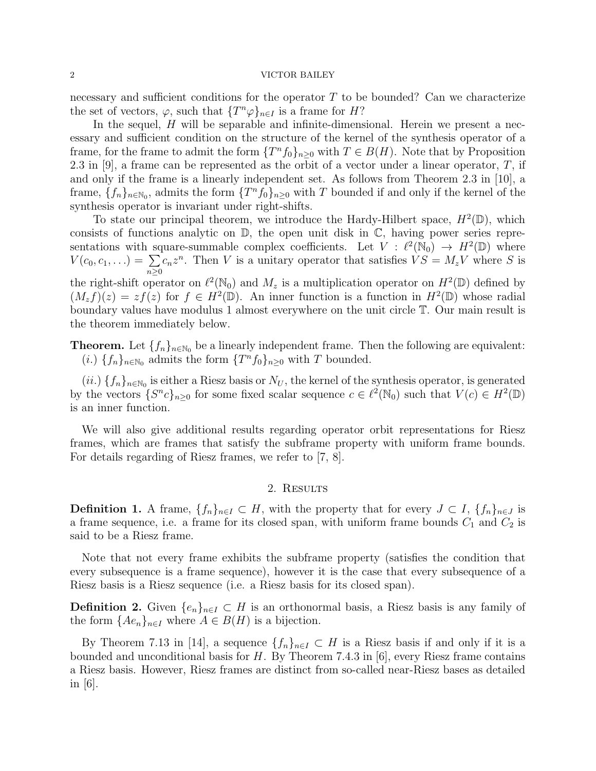#### 2 VICTOR BAILEY

necessary and sufficient conditions for the operator  $T$  to be bounded? Can we characterize the set of vectors,  $\varphi$ , such that  $\{T^n\varphi\}_{n\in I}$  is a frame for H?

In the sequel,  $H$  will be separable and infinite-dimensional. Herein we present a necessary and sufficient condition on the structure of the kernel of the synthesis operator of a frame, for the frame to admit the form  $\{T^n f_0\}_{n\geq 0}$  with  $T \in B(H)$ . Note that by Proposition 2.3 in [9], a frame can be represented as the orbit of a vector under a linear operator,  $T$ , if and only if the frame is a linearly independent set. As follows from Theorem 2.3 in [10], a frame,  $\{f_n\}_{n\in\mathbb{N}_0}$ , admits the form  $\{T^n f_0\}_{n\geq 0}$  with T bounded if and only if the kernel of the synthesis operator is invariant under right-shifts.

To state our principal theorem, we introduce the Hardy-Hilbert space,  $H^2(\mathbb{D})$ , which consists of functions analytic on  $\mathbb{D}$ , the open unit disk in  $\mathbb{C}$ , having power series representations with square-summable complex coefficients. Let  $V : \ell^2(\mathbb{N}_0) \to H^2(\mathbb{D})$  where  $V(c_0, c_1, \ldots) = \sum$  $n \geq 0$  $c_n z^n$ . Then V is a unitary operator that satisfies  $VS = M_z V$  where S is the right-shift operator on  $\ell^2(\mathbb{N}_0)$  and  $M_z$  is a multiplication operator on  $H^2(\mathbb{D})$  defined by  $(M_z f)(z) = z f(z)$  for  $f \in H^2(\mathbb{D})$ . An inner function is a function in  $H^2(\mathbb{D})$  whose radial boundary values have modulus 1 almost everywhere on the unit circle T. Our main result is the theorem immediately below.

**Theorem.** Let  $\{f_n\}_{n\in\mathbb{N}_0}$  be a linearly independent frame. Then the following are equivalent: (*i*.)  $\{f_n\}_{n\in\mathbb{N}_0}$  admits the form  $\{T^n f_0\}_{n\geq 0}$  with T bounded.

 $(ii.) \{f_n\}_{n\in\mathbb{N}_0}$  is either a Riesz basis or  $N_U$ , the kernel of the synthesis operator, is generated by the vectors  $\{S^n c\}_{n\geq 0}$  for some fixed scalar sequence  $c \in \ell^2(\mathbb{N}_0)$  such that  $V(c) \in H^2(\mathbb{D})$ is an inner function.

We will also give additional results regarding operator orbit representations for Riesz frames, which are frames that satisfy the subframe property with uniform frame bounds. For details regarding of Riesz frames, we refer to [7, 8].

## 2. Results

**Definition 1.** A frame,  $\{f_n\}_{n\in I} \subset H$ , with the property that for every  $J \subset I$ ,  $\{f_n\}_{n\in J}$  is a frame sequence, i.e. a frame for its closed span, with uniform frame bounds  $C_1$  and  $C_2$  is said to be a Riesz frame.

Note that not every frame exhibits the subframe property (satisfies the condition that every subsequence is a frame sequence), however it is the case that every subsequence of a Riesz basis is a Riesz sequence (i.e. a Riesz basis for its closed span).

**Definition 2.** Given  $\{e_n\}_{n\in I} \subset H$  is an orthonormal basis, a Riesz basis is any family of the form  ${Ae_n}_{n\in I}$  where  $A \in B(H)$  is a bijection.

By Theorem 7.13 in [14], a sequence  ${f_n}_{n\in I} \subset H$  is a Riesz basis if and only if it is a bounded and unconditional basis for  $H$ . By Theorem 7.4.3 in [6], every Riesz frame contains a Riesz basis. However, Riesz frames are distinct from so-called near-Riesz bases as detailed in [6].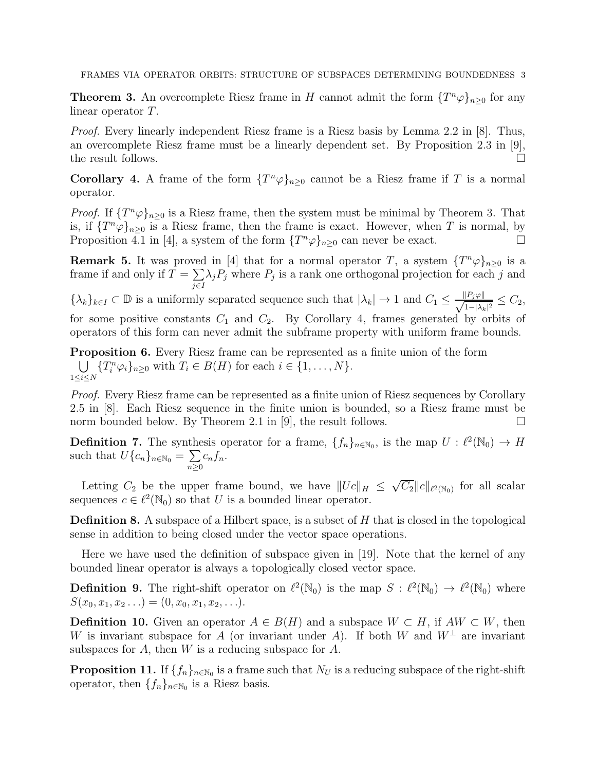**Theorem 3.** An overcomplete Riesz frame in H cannot admit the form  $\{T^n\varphi\}_{n\geq 0}$  for any linear operator T.

Proof. Every linearly independent Riesz frame is a Riesz basis by Lemma 2.2 in [8]. Thus, an overcomplete Riesz frame must be a linearly dependent set. By Proposition 2.3 in [9], the result follows.  $\Box$ 

**Corollary 4.** A frame of the form  $\{T^n\varphi\}_{n\geq 0}$  cannot be a Riesz frame if T is a normal operator.

*Proof.* If  $\{T^n\varphi\}_{n\geq 0}$  is a Riesz frame, then the system must be minimal by Theorem 3. That is, if  $\{T^n\varphi\}_{n\geq 0}$  is a Riesz frame, then the frame is exact. However, when T is normal, by Proposition 4.1 in [4], a system of the form  $\{T^n\varphi\}_{n\geq 0}$  can never be exact.

**Remark 5.** It was proved in [4] that for a normal operator T, a system  $\{T^n\varphi\}_{n\geq 0}$  is a frame if and only if  $T = \sum$ j∈I  $\lambda_j P_j$  where  $P_j$  is a rank one orthogonal projection for each j and

 $\{\lambda_k\}_{k\in I}\subset\mathbb{D}$  is a uniformly separated sequence such that  $|\lambda_k|\to 1$  and  $C_1\leq \frac{||P_j\varphi||}{\sqrt{1-||\lambda_k||}}$  $\frac{|P_j \varphi||}{1-|\lambda_k|^2} \leq C_2,$ for some positive constants  $C_1$  and  $C_2$ . By Corollary 4, frames generated by orbits of operators of this form can never admit the subframe property with uniform frame bounds.

Proposition 6. Every Riesz frame can be represented as a finite union of the form U  $\bigcup_{1 \leq i \leq N} \{T_i^n \varphi_i\}_{n \geq 0}$  with  $T_i \in B(H)$  for each  $i \in \{1, \ldots, N\}$ .

*Proof.* Every Riesz frame can be represented as a finite union of Riesz sequences by Corollary 2.5 in [8]. Each Riesz sequence in the finite union is bounded, so a Riesz frame must be norm bounded below. By Theorem 2.1 in  $[9]$ , the result follows.

**Definition 7.** The synthesis operator for a frame,  $\{f_n\}_{n\in\mathbb{N}_0}$ , is the map  $U: \ell^2(\mathbb{N}_0) \to H$ such that  $U\{c_n\}_{n\in\mathbb{N}_0}=\sum_{n\geq 0}$  $n \geq 0$  $c_n f_n$ .

Letting  $C_2$  be the upper frame bound, we have  $||Uc||_H \leq \sqrt{C_2} ||c||_{\ell^2(\mathbb{N}_0)}$  for all scalar sequences  $c \in \ell^2(\mathbb{N}_0)$  so that U is a bounded linear operator.

**Definition 8.** A subspace of a Hilbert space, is a subset of  $H$  that is closed in the topological sense in addition to being closed under the vector space operations.

Here we have used the definition of subspace given in [19]. Note that the kernel of any bounded linear operator is always a topologically closed vector space.

**Definition 9.** The right-shift operator on  $\ell^2(\mathbb{N}_0)$  is the map  $S : \ell^2(\mathbb{N}_0) \to \ell^2(\mathbb{N}_0)$  where  $S(x_0, x_1, x_2 \ldots) = (0, x_0, x_1, x_2, \ldots).$ 

**Definition 10.** Given an operator  $A \in B(H)$  and a subspace  $W \subset H$ , if  $AW \subset W$ , then W is invariant subspace for A (or invariant under A). If both W and  $W^{\perp}$  are invariant subspaces for A, then  $W$  is a reducing subspace for  $A$ .

**Proposition 11.** If  $\{f_n\}_{n\in\mathbb{N}_0}$  is a frame such that  $N_U$  is a reducing subspace of the right-shift operator, then  $\{f_n\}_{n\in\mathbb{N}_0}$  is a Riesz basis.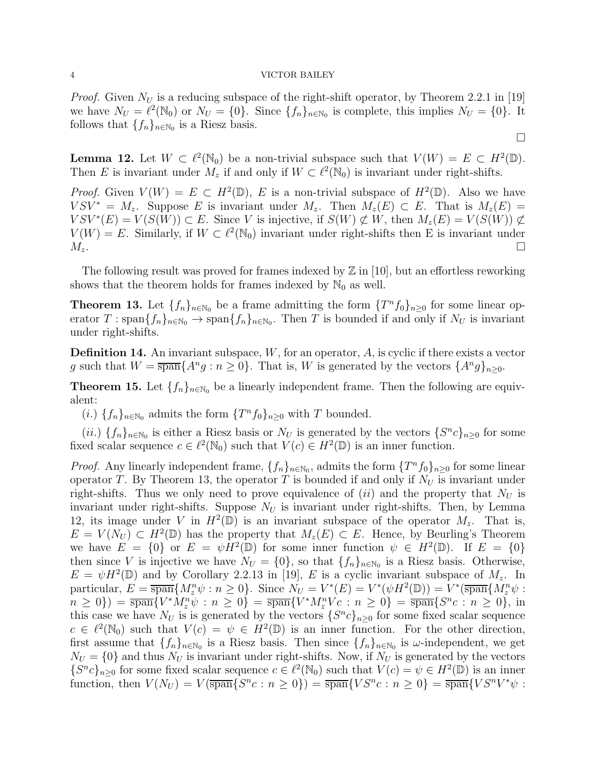#### 4 VICTOR BAILEY

*Proof.* Given  $N_U$  is a reducing subspace of the right-shift operator, by Theorem 2.2.1 in [19] we have  $N_U = \ell^2(\mathbb{N}_0)$  or  $N_U = \{0\}$ . Since  $\{f_n\}_{n \in \mathbb{N}_0}$  is complete, this implies  $N_U = \{0\}$ . It follows that  $\{f_n\}_{n\in\mathbb{N}_0}$  is a Riesz basis.

 $\Box$ 

**Lemma 12.** Let  $W \subset \ell^2(\mathbb{N}_0)$  be a non-trivial subspace such that  $V(W) = E \subset H^2(\mathbb{D})$ . Then E is invariant under  $M_z$  if and only if  $W \subset \ell^2(\mathbb{N}_0)$  is invariant under right-shifts.

*Proof.* Given  $V(W) = E \subset H^2(\mathbb{D})$ , E is a non-trivial subspace of  $H^2(\mathbb{D})$ . Also we have  $V S V^* = M_z$ . Suppose E is invariant under  $M_z$ . Then  $M_z(E) \subset E$ . That is  $M_z(E) =$  $VSV^*(E) = V(S(W)) \subset E$ . Since V is injective, if  $S(W) \not\subset W$ , then  $M_z(E) = V(S(W)) \not\subset V(S(W))$ .  $V(W) = E$ . Similarly, if  $W \subset \ell^2(\mathbb{N}_0)$  invariant under right-shifts then E is invariant under  $M_z$ .

The following result was proved for frames indexed by  $\mathbb{Z}$  in [10], but an effortless reworking shows that the theorem holds for frames indexed by  $\mathbb{N}_0$  as well.

**Theorem 13.** Let  $\{f_n\}_{n\in\mathbb{N}_0}$  be a frame admitting the form  $\{T^n f_0\}_{n\geq 0}$  for some linear operator  $T : \text{span}\{f_n\}_{n\in\mathbb{N}_0} \to \text{span}\{f_n\}_{n\in\mathbb{N}_0}$ . Then T is bounded if and only if  $N_U$  is invariant under right-shifts.

**Definition 14.** An invariant subspace,  $W$ , for an operator,  $A$ , is cyclic if there exists a vector g such that  $W = \overline{\text{span}}\{A^n g : n \ge 0\}$ . That is, W is generated by the vectors  $\{A^n g\}_{n \ge 0}$ .

**Theorem 15.** Let  $\{f_n\}_{n\in\mathbb{N}_0}$  be a linearly independent frame. Then the following are equivalent:

(*i*.)  $\{f_n\}_{n\in\mathbb{N}_0}$  admits the form  $\{T^n f_0\}_{n\geq 0}$  with T bounded.

 $(ii.) \{f_n\}_{n\in\mathbb{N}_0}$  is either a Riesz basis or  $N_U$  is generated by the vectors  $\{S^nc\}_{n\geq 0}$  for some fixed scalar sequence  $c \in \ell^2(\mathbb{N}_0)$  such that  $V(c) \in H^2(\mathbb{D})$  is an inner function.

*Proof.* Any linearly independent frame,  $\{f_n\}_{n\in\mathbb{N}_0}$ , admits the form  $\{T^n f_0\}_{n\geq 0}$  for some linear operator T. By Theorem 13, the operator T is bounded if and only if  $N_U$  is invariant under right-shifts. Thus we only need to prove equivalence of  $(ii)$  and the property that  $N_U$  is invariant under right-shifts. Suppose  $N_U$  is invariant under right-shifts. Then, by Lemma 12, its image under V in  $H^2(\mathbb{D})$  is an invariant subspace of the operator  $M_z$ . That is,  $E = V(N_U) \subset H^2(\mathbb{D})$  has the property that  $M_z(E) \subset E$ . Hence, by Beurling's Theorem we have  $E = \{0\}$  or  $E = \psi H^2(\mathbb{D})$  for some inner function  $\psi \in H^2(\mathbb{D})$ . If  $E = \{0\}$ then since V is injective we have  $N_U = \{0\}$ , so that  $\{f_n\}_{n \in \mathbb{N}_0}$  is a Riesz basis. Otherwise,  $E = \psi H^2(\mathbb{D})$  and by Corollary 2.2.13 in [19], E is a cyclic invariant subspace of  $M_z$ . In particular,  $E = \overline{\text{span}}\{M_z^n \psi : n \geq 0\}$ . Since  $N_U = V^*(E) = V^*(\psi H^2(\mathbb{D})) = V^*(\overline{\text{span}}\{M_z^n \psi : n \geq 0\})$  $n \ge 0$ ) =  $\overline{\text{span}}\{V^* M_z^n \psi : n \ge 0\} = \overline{\text{span}}\{V^* M_z^n V_c : n \ge 0\} = \overline{\text{span}}\{S^n c : n \ge 0\}$ , in this case we have  $N_U$  is is generated by the vectors  $\{S^n c\}_{n\geq 0}$  for some fixed scalar sequence  $c \in \ell^2(\mathbb{N}_0)$  such that  $V(c) = \psi \in H^2(\mathbb{D})$  is an inner function. For the other direction, first assume that  $\{f_n\}_{n\in\mathbb{N}_0}$  is a Riesz basis. Then since  $\{f_n\}_{n\in\mathbb{N}_0}$  is  $\omega$ -independent, we get  $N_U = \{0\}$  and thus  $N_U$  is invariant under right-shifts. Now, if  $N_U$  is generated by the vectors  ${S^n c}_{n\geq 0}$  for some fixed scalar sequence  $c \in \ell^2(\mathbb{N}_0)$  such that  $V(c) = \psi \in H^2(\mathbb{D})$  is an inner function, then  $V(N_U) = V(\overline{\text{span}}\{S^n c : n \ge 0\}) = \overline{\text{span}}\{VS^n c : n \ge 0\} = \overline{\text{span}}\{VS^n V^* \psi :$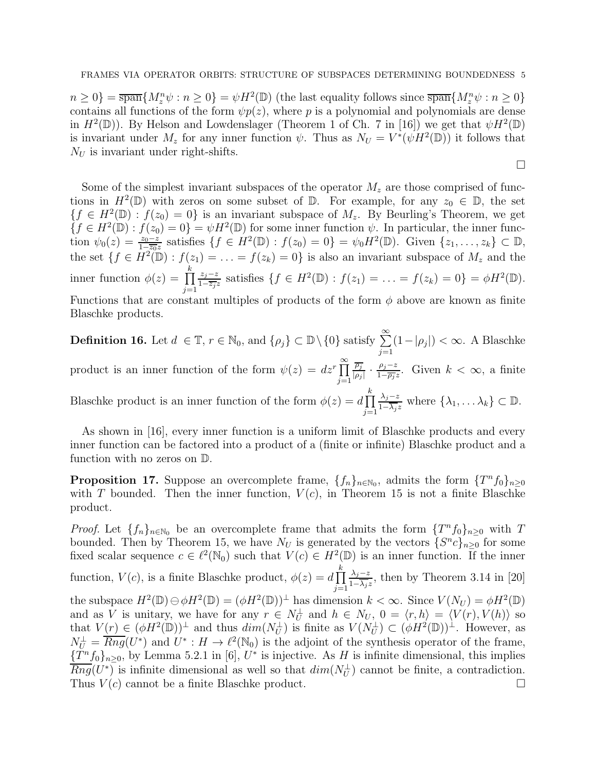$n \geq 0$ } =  $\frac{1}{\text{span}}\{M_z^n\psi : n \geq 0\} = \psi H^2(\mathbb{D})$  (the last equality follows since  $\frac{1}{\text{span}}\{M_z^n\psi : n \geq 0\}$ contains all functions of the form  $\psi p(z)$ , where p is a polynomial and polynomials are dense in  $H^2(\mathbb{D})$ ). By Helson and Lowdenslager (Theorem 1 of Ch. 7 in [16]) we get that  $\psi H^2(\mathbb{D})$ is invariant under  $M_z$  for any inner function  $\psi$ . Thus as  $N_U = V^*(\psi H^2(\mathbb{D}))$  it follows that  $N_U$  is invariant under right-shifts.

 $\Box$ 

Some of the simplest invariant subspaces of the operator  $M_z$  are those comprised of functions in  $H^2(\mathbb{D})$  with zeros on some subset of  $\mathbb{D}$ . For example, for any  $z_0 \in \mathbb{D}$ , the set  ${f \in H^2(\mathbb{D}) : f(z_0) = 0}$  is an invariant subspace of  $M_z$ . By Beurling's Theorem, we get  ${f \in H^2(\mathbb{D}) : f(z_0) = 0} = \psi H^2(\mathbb{D})$  for some inner function  $\psi$ . In particular, the inner function  $\psi_0(z) = \frac{z_0 - z}{1 - \overline{z_0}z}$  satisfies  $\{f \in H^2(\mathbb{D}) : f(z_0) = 0\} = \psi_0 H^2(\mathbb{D})$ . Given  $\{z_1, \ldots, z_k\} \subset \mathbb{D}$ , the set  $\{f \in \overline{H^2(\mathbb{D})} : f(z_1) = \ldots = f(z_k) = 0\}$  is also an invariant subspace of  $M_z$  and the inner function  $\phi(z) = \prod$ k  $j=1$  $z_j-z$  $\frac{z_j - z}{1 - \overline{z_j}z}$  satisfies  $\{f \in H^2(\mathbb{D}) : f(z_1) = \ldots = f(z_k) = 0\} = \phi H^2(\mathbb{D}).$ Functions that are constant multiples of products of the form  $\phi$  above are known as finite Blaschke products.

**Definition 16.** Let  $d \in \mathbb{T}$ ,  $r \in \mathbb{N}_0$ , and  $\{\rho_j\} \subset \mathbb{D} \setminus \{0\}$  satisfy  $\sum_{j=1}^{\infty} (1 - |\rho_j|) < \infty$ . A Blaschke product is an inner function of the form  $\psi(z) = dz^r \prod_{r=0}^{\infty}$  $j=1$  $\rho_j$  $\frac{\overline{\rho_j}}{|\rho_j|} \cdot \frac{\rho_j-z}{1-\overline{\rho_j}}$  $\frac{\rho_j - z}{1 - \overline{\rho_j} z}$ . Given  $k < \infty$ , a finite Blaschke product is an inner function of the form  $\phi(z) = d \prod$ k  $\lambda_j-z$  $\frac{\lambda_j - z}{1 - \overline{\lambda_j} z}$  where  $\{\lambda_1, \ldots \lambda_k\} \subset \mathbb{D}$ .

As shown in [16], every inner function is a uniform limit of Blaschke products and every inner function can be factored into a product of a (finite or infinite) Blaschke product and a function with no zeros on D.

 $j=1$ 

**Proposition 17.** Suppose an overcomplete frame,  $\{f_n\}_{n\in\mathbb{N}_0}$ , admits the form  $\{T^n f_0\}_{n\geq 0}$ with T bounded. Then the inner function,  $V(c)$ , in Theorem 15 is not a finite Blaschke product.

*Proof.* Let  $\{f_n\}_{n\in\mathbb{N}_0}$  be an overcomplete frame that admits the form  $\{T^n f_0\}_{n\geq 0}$  with T bounded. Then by Theorem 15, we have  $N_U$  is generated by the vectors  $\{S^n c\}_{n\geq 0}$  for some fixed scalar sequence  $c \in \ell^2(\mathbb{N}_0)$  such that  $V(c) \in H^2(\mathbb{D})$  is an inner function. If the inner function,  $V(c)$ , is a finite Blaschke product,  $\phi(z) = d \prod$ k  $j=1$  $\lambda_j-z$  $\frac{\lambda_j - z}{1 - \overline{\lambda_j}z}$ , then by Theorem 3.14 in [20] the subspace  $H^2(\mathbb{D}) \ominus \phi H^2(\mathbb{D}) = (\phi H^2(\mathbb{D}))^\perp$  has dimension  $k < \infty$ . Since  $V(N_U) = \phi H^2(\mathbb{D})$ and as V is unitary, we have for any  $r \in N_U^{\perp}$  and  $h \in N_U$ ,  $0 = \langle r, h \rangle = \langle V(r), V(h) \rangle$  so that  $V(r) \in (\phi H^2(\mathbb{D}))^{\perp}$  and thus  $dim(N_U^{\perp})$  is finite as  $V(N_U^{\perp}) \subset (\phi H^2(\mathbb{D}))^{\perp}$ . However, as  $N_U^{\perp} = \overline{Rng}(U^*)$  and  $U^*: H \to \ell^2(\mathbb{N}_0)$  is the adjoint of the synthesis operator of the frame,  ${T^n f_0}_{n\geq 0}$ , by Lemma 5.2.1 in [6],  $U^*$  is injective. As H is infinite dimensional, this implies  $\overline{Rng}(U^*)$  is infinite dimensional as well so that  $dim(N_U^{\perp})$  cannot be finite, a contradiction. Thus  $V(c)$  cannot be a finite Blaschke product.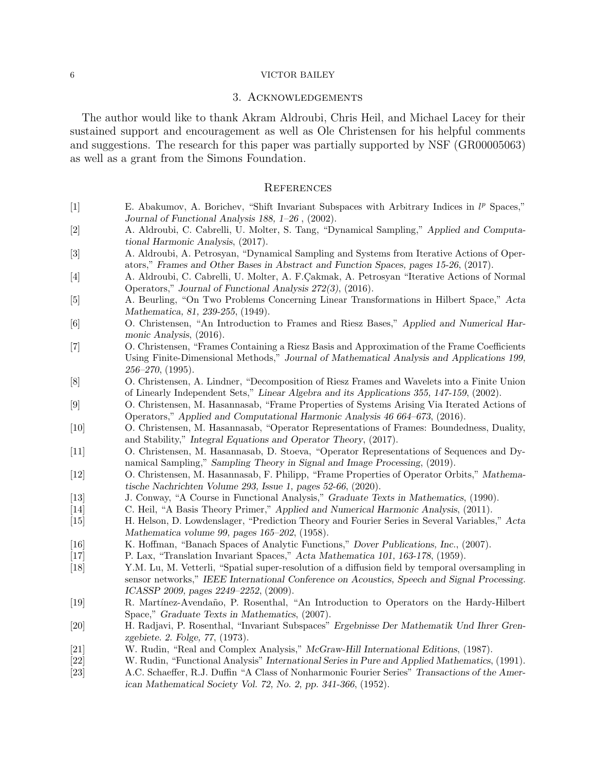### 6 VICTOR BAILEY

## 3. Acknowledgements

The author would like to thank Akram Aldroubi, Chris Heil, and Michael Lacey for their sustained support and encouragement as well as Ole Christensen for his helpful comments and suggestions. The research for this paper was partially supported by NSF (GR00005063) as well as a grant from the Simons Foundation.

#### **REFERENCES**

- [1] E. Abakumov, A. Borichev, "Shift Invariant Subspaces with Arbitrary Indices in  $l^p$  Spaces," Journal of Functional Analysis 188, 1–26 , (2002).
- [2] A. Aldroubi, C. Cabrelli, U. Molter, S. Tang, "Dynamical Sampling," Applied and Computational Harmonic Analysis, (2017).
- [3] A. Aldroubi, A. Petrosyan, "Dynamical Sampling and Systems from Iterative Actions of Operators," Frames and Other Bases in Abstract and Function Spaces, pages 15-26, (2017).
- [4] A. Aldroubi, C. Cabrelli, U. Molter, A. F. Cakmak, A. Petrosyan "Iterative Actions of Normal Operators," Journal of Functional Analysis 272(3), (2016).
- [5] A. Beurling, "On Two Problems Concerning Linear Transformations in Hilbert Space," Acta Mathematica, 81, 239-255, (1949).
- [6] O. Christensen, "An Introduction to Frames and Riesz Bases," Applied and Numerical Harmonic Analysis, (2016).
- [7] O. Christensen, "Frames Containing a Riesz Basis and Approximation of the Frame Coefficients Using Finite-Dimensional Methods," Journal of Mathematical Analysis and Applications 199,  $256 - 270$ ,  $(1995)$ .
- [8] O. Christensen, A. Lindner, "Decomposition of Riesz Frames and Wavelets into a Finite Union of Linearly Independent Sets," Linear Algebra and its Applications 355, 147-159, (2002).
- [9] O. Christensen, M. Hasannasab, "Frame Properties of Systems Arising Via Iterated Actions of Operators," Applied and Computational Harmonic Analysis 46 664–673, (2016).
- [10] O. Christensen, M. Hasannasab, "Operator Representations of Frames: Boundedness, Duality, and Stability," Integral Equations and Operator Theory, (2017).
- [11] O. Christensen, M. Hasannasab, D. Stoeva, "Operator Representations of Sequences and Dynamical Sampling," Sampling Theory in Signal and Image Processing, (2019).
- [12] O. Christensen, M. Hasannasab, F. Philipp, "Frame Properties of Operator Orbits," Mathematische Nachrichten Volume 293, Issue 1, pages 52-66, (2020).
- [13] J. Conway, "A Course in Functional Analysis," Graduate Texts in Mathematics, (1990).
- [14] C. Heil, "A Basis Theory Primer," Applied and Numerical Harmonic Analysis, (2011).
- [15] H. Helson, D. Lowdenslager, "Prediction Theory and Fourier Series in Several Variables," Acta Mathematica volume 99, pages 165–202, (1958).
- [16] K. Hoffman, "Banach Spaces of Analytic Functions," Dover Publications, Inc., (2007).
- [17] P. Lax, "Translation Invariant Spaces," Acta Mathematica 101, 163-178, (1959).
- [18] Y.M. Lu, M. Vetterli, "Spatial super-resolution of a diffusion field by temporal oversampling in sensor networks," IEEE International Conference on Acoustics, Speech and Signal Processing. ICASSP 2009, pages 2249–2252, (2009).
- [19] R. Mart´ınez-Avenda˜no, P. Rosenthal, "An Introduction to Operators on the Hardy-Hilbert Space," Graduate Texts in Mathematics, (2007).
- [20] H. Radjavi, P. Rosenthal, "Invariant Subspaces" Ergebnisse Der Mathematik Und Ihrer Grenzgebiete. 2. Folge, 77, (1973).
- [21] W. Rudin, "Real and Complex Analysis," McGraw-Hill International Editions, (1987).
- [22] W. Rudin, "Functional Analysis" International Series in Pure and Applied Mathematics, (1991).
- [23] A.C. Schaeffer, R.J. Duffin "A Class of Nonharmonic Fourier Series" Transactions of the American Mathematical Society Vol. 72, No. 2, pp. 341-366, (1952).